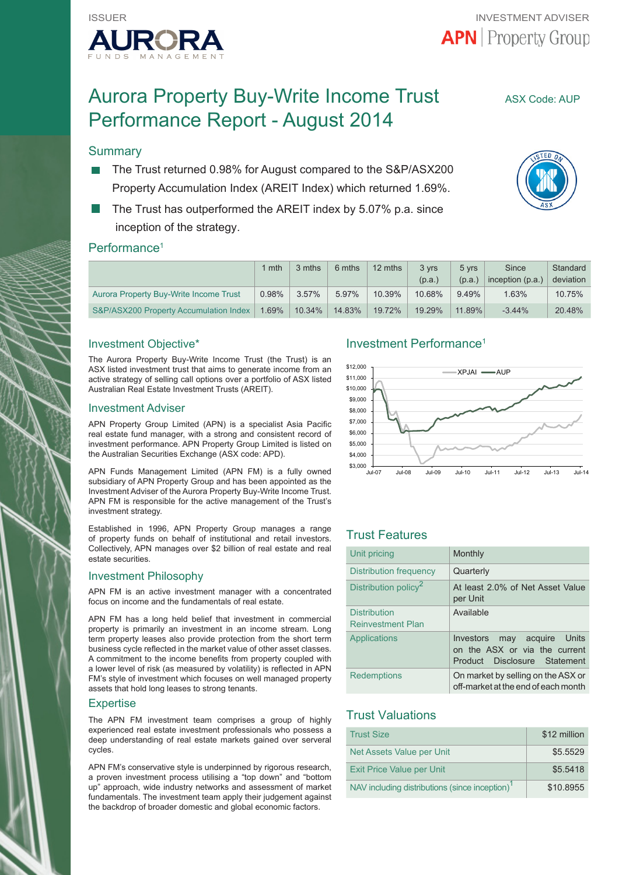

# Aurora Property Buy-Write Income Trust ASX Code: AUP Performance Report - August 2014

# **Summary**

- The Trust returned 0.98% for August compared to the S&P/ASX200 Property Accumulation Index (AREIT Index) which returned 1.69%.
- The Trust has outperformed the AREIT index by 5.07% p.a. since inception of the strategy.

# Performance<sup>1</sup>

|                                        | 1 mth | 3 mths    | 6 mths | 12 mths | 3 yrs  | 5 yrs  | Since            | Standard  |
|----------------------------------------|-------|-----------|--------|---------|--------|--------|------------------|-----------|
|                                        |       |           |        |         | (p.a.) | (p.a.) | inception (p.a.) | deviation |
| Aurora Property Buy-Write Income Trust | 0.98% | $3.57\%$  | 5.97%  | 10.39%  | 10.68% | 9.49%  | $1.63\%$         | 10.75%    |
| S&P/ASX200 Property Accumulation Index | 1.69% | $10.34\%$ | 14.83% | 19.72%  | 19.29% | 11.89% | $-3.44%$         | 20.48%    |

# Investment Objective\*

The Aurora Property Buy-Write Income Trust (the Trust) is an ASX listed investment trust that aims to generate income from an active strategy of selling call options over a portfolio of ASX listed Australian Real Estate Investment Trusts (AREIT).

# Investment Adviser

APN Property Group Limited (APN) is a specialist Asia Pacific real estate fund manager, with a strong and consistent record of investment performance. APN Property Group Limited is listed on the Australian Securities Exchange (ASX code: APD).

APN Funds Management Limited (APN FM) is a fully owned subsidiary of APN Property Group and has been appointed as the Investment Adviser of the Aurora Property Buy-Write Income Trust. APN FM is responsible for the active management of the Trust's investment strategy.

Established in 1996, APN Property Group manages a range of property funds on behalf of institutional and retail investors. Collectively, APN manages over \$2 billion of real estate and real estate securities.

# Investment Philosophy

APN FM is an active investment manager with a concentrated focus on income and the fundamentals of real estate.

APN FM has a long held belief that investment in commercial property is primarily an investment in an income stream. Long term property leases also provide protection from the short term business cycle reflected in the market value of other asset classes. A commitment to the income benefits from property coupled with a lower level of risk (as measured by volatility) is reflected in APN FM's style of investment which focuses on well managed property assets that hold long leases to strong tenants.

# **Expertise**

The APN FM investment team comprises a group of highly experienced real estate investment professionals who possess a deep understanding of real estate markets gained over serveral cycles.

APN FM's conservative style is underpinned by rigorous research, a proven investment process utilising a "top down" and "bottom up" approach, wide industry networks and assessment of market fundamentals. The investment team apply their judgement against the backdrop of broader domestic and global economic factors.

# Investment Performance1



# Trust Features

| Unit pricing                                    | Monthly                                                                                         |
|-------------------------------------------------|-------------------------------------------------------------------------------------------------|
| Distribution frequency                          | Quarterly                                                                                       |
| Distribution policy <sup>2</sup>                | At least 2.0% of Net Asset Value<br>per Unit                                                    |
| <b>Distribution</b><br><b>Reinvestment Plan</b> | Available                                                                                       |
| <b>Applications</b>                             | Investors<br>may acquire Units<br>on the ASX or via the current<br>Product Disclosure Statement |
| <b>Redemptions</b>                              | On market by selling on the ASX or<br>off-market at the end of each month                       |

# Trust Valuations

| <b>Trust Size</b>                                          | \$12 million |
|------------------------------------------------------------|--------------|
| Net Assets Value per Unit                                  | \$5.5529     |
| <b>Exit Price Value per Unit</b>                           | \$5.5418     |
| NAV including distributions (since inception) <sup>1</sup> | \$10,8955    |